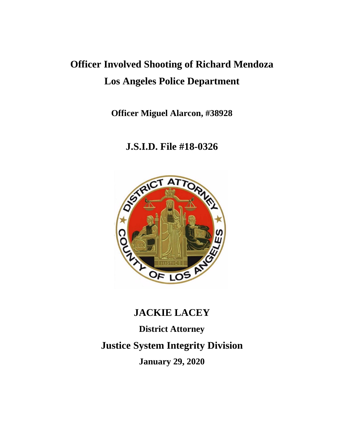# **Officer Involved Shooting of Richard Mendoza Los Angeles Police Department**

**Officer Miguel Alarcon, #38928**

# **J.S.I.D. File #18-0326**



# **JACKIE LACEY**

**District Attorney Justice System Integrity Division January 29, 2020**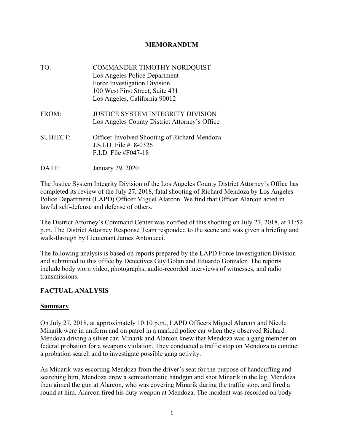#### **MEMORANDUM**

- TO: COMMANDER TIMOTHY NORDQUIST Los Angeles Police Department Force Investigation Division 100 West First Street, Suite 431 Los Angeles, California 90012 FROM: JUSTICE SYSTEM INTEGRITY DIVISION Los Angeles County District Attorney's Office SUBJECT: Officer Involved Shooting of Richard Mendoza J.S.I.D. File #18-0326  $FID$  File  $#F047-18$
- DATE: January 29, 2020

The Justice System Integrity Division of the Los Angeles County District Attorney's Office has completed its review of the July 27, 2018, fatal shooting of Richard Mendoza by Los Angeles Police Department (LAPD) Officer Miguel Alarcon. We find that Officer Alarcon acted in lawful self-defense and defense of others.

The District Attorney's Command Center was notified of this shooting on July 27, 2018, at 11:52 p.m. The District Attorney Response Team responded to the scene and was given a briefing and walk-through by Lieutenant James Antonucci.

The following analysis is based on reports prepared by the LAPD Force Investigation Division and submitted to this office by Detectives Guy Golan and Eduardo Gonzalez. The reports include body worn video, photographs, audio-recorded interviews of witnesses, and radio transmissions.

#### **FACTUAL ANALYSIS**

#### **Summary**

On July 27, 2018, at approximately 10:10 p.m., LAPD Officers Miguel Alarcon and Nicole Minarik were in uniform and on patrol in a marked police car when they observed Richard Mendoza driving a silver car. Minarik and Alarcon knew that Mendoza was a gang member on federal probation for a weapons violation. They conducted a traffic stop on Mendoza to conduct a probation search and to investigate possible gang activity.

As Minarik was escorting Mendoza from the driver's seat for the purpose of handcuffing and searching him, Mendoza drew a semiautomatic handgun and shot Minarik in the leg. Mendoza then aimed the gun at Alarcon, who was covering Minarik during the traffic stop, and fired a round at him. Alarcon fired his duty weapon at Mendoza. The incident was recorded on body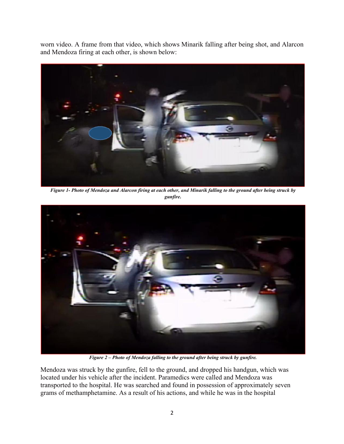worn video. A frame from that video, which shows Minarik falling after being shot, and Alarcon and Mendoza firing at each other, is shown below:



*Figure 1- Photo of Mendoza and Alarcon firing at each other, and Minarik falling to the ground after being struck by gunfire.*



*Figure 2 – Photo of Mendoza falling to the ground after being struck by gunfire.*

Mendoza was struck by the gunfire, fell to the ground, and dropped his handgun, which was located under his vehicle after the incident. Paramedics were called and Mendoza was transported to the hospital. He was searched and found in possession of approximately seven grams of methamphetamine. As a result of his actions, and while he was in the hospital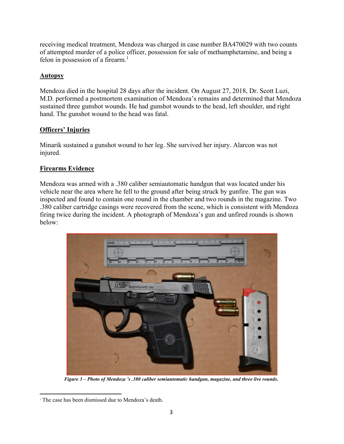receiving medical treatment, Mendoza was charged in case number BA470029 with two counts of attempted murder of a police officer, possession for sale of methamphetamine, and being a felon in possession of a firearm. $<sup>1</sup>$ </sup>

#### **Autopsy**

Mendoza died in the hospital 28 days after the incident. On August 27, 2018, Dr. Scott Luzi, M.D. performed a postmortem examination of Mendoza's remains and determined that Mendoza sustained three gunshot wounds. He had gunshot wounds to the head, left shoulder, and right hand. The gunshot wound to the head was fatal.

### **Officers' Injuries**

Minarik sustained a gunshot wound to her leg. She survived her injury. Alarcon was not injured.

#### **Firearms Evidence**

Mendoza was armed with a .380 caliber semiautomatic handgun that was located under his vehicle near the area where he fell to the ground after being struck by gunfire. The gun was inspected and found to contain one round in the chamber and two rounds in the magazine. Two .380 caliber cartridge casings were recovered from the scene, which is consistent with Mendoza firing twice during the incident. A photograph of Mendoza's gun and unfired rounds is shown below:



*Figure 3 – Photo of Mendoza 's .380 caliber semiautomatic handgun, magazine, and three live rounds.*

<sup>&</sup>lt;sup>1</sup> The case has been dismissed due to Mendoza's death.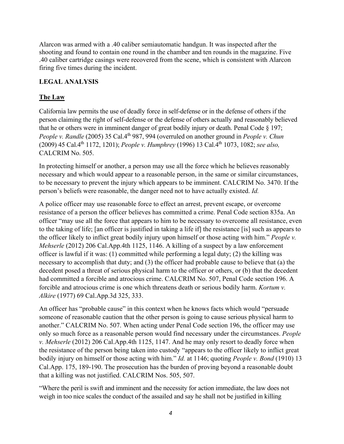Alarcon was armed with a .40 caliber semiautomatic handgun. It was inspected after the shooting and found to contain one round in the chamber and ten rounds in the magazine. Five .40 caliber cartridge casings were recovered from the scene, which is consistent with Alarcon firing five times during the incident.

#### **LEGAL ANALYSIS**

#### **The Law**

California law permits the use of deadly force in self-defense or in the defense of others if the person claiming the right of self-defense or the defense of others actually and reasonably believed that he or others were in imminent danger of great bodily injury or death. Penal Code § 197; *People v. Randle* (2005) 35 Cal.4<sup>th</sup> 987, 994 (overruled on another ground in *People v. Chun* (2009) 45 Cal.4th 1172, 1201); *People v. Humphrey* (1996) 13 Cal.4th 1073, 1082; *see also,*  CALCRIM No. 505.

In protecting himself or another, a person may use all the force which he believes reasonably necessary and which would appear to a reasonable person, in the same or similar circumstances, to be necessary to prevent the injury which appears to be imminent. CALCRIM No. 3470. If the person's beliefs were reasonable, the danger need not to have actually existed. *Id.*

A police officer may use reasonable force to effect an arrest, prevent escape, or overcome resistance of a person the officer believes has committed a crime. Penal Code section 835a. An officer "may use all the force that appears to him to be necessary to overcome all resistance, even to the taking of life; [an officer is justified in taking a life if] the resistance [is] such as appears to the officer likely to inflict great bodily injury upon himself or those acting with him." *People v. Mehserle* (2012) 206 Cal.App.4th 1125, 1146. A killing of a suspect by a law enforcement officer is lawful if it was: (1) committed while performing a legal duty; (2) the killing was necessary to accomplish that duty; and (3) the officer had probable cause to believe that (a) the decedent posed a threat of serious physical harm to the officer or others, or (b) that the decedent had committed a forcible and atrocious crime. CALCRIM No. 507, Penal Code section 196. A forcible and atrocious crime is one which threatens death or serious bodily harm. *Kortum v. Alkire* (1977) 69 Cal.App.3d 325, 333.

An officer has "probable cause" in this context when he knows facts which would "persuade someone of reasonable caution that the other person is going to cause serious physical harm to another." CALCRIM No. 507. When acting under Penal Code section 196, the officer may use only so much force as a reasonable person would find necessary under the circumstances. *People v. Mehserle* (2012) 206 Cal.App.4th 1125, 1147. And he may only resort to deadly force when the resistance of the person being taken into custody "appears to the officer likely to inflict great bodily injury on himself or those acting with him." *Id.* at 1146; quoting *People v. Bond* (1910) 13 Cal.App. 175, 189-190. The prosecution has the burden of proving beyond a reasonable doubt that a killing was not justified. CALCRIM Nos. 505, 507.

"Where the peril is swift and imminent and the necessity for action immediate, the law does not weigh in too nice scales the conduct of the assailed and say he shall not be justified in killing